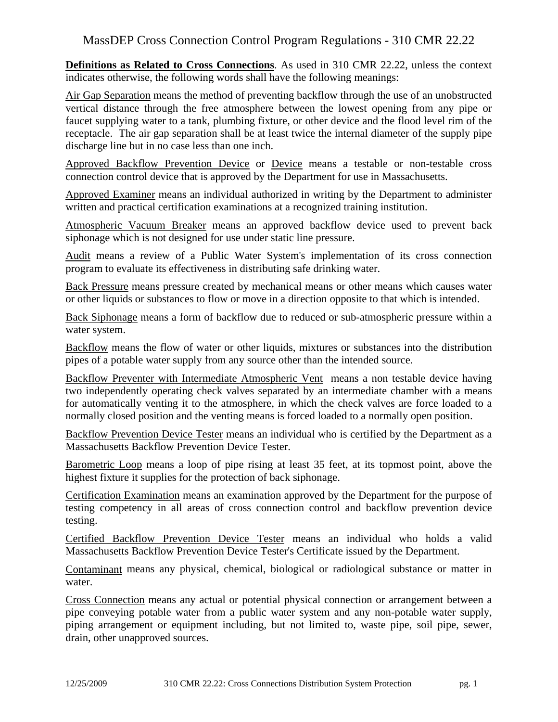# MassDEP Cross Connection Control Program Regulations - 310 CMR 22.22

**Definitions as Related to Cross Connections**. As used in 310 CMR 22.22, unless the context indicates otherwise, the following words shall have the following meanings:

Air Gap Separation means the method of preventing backflow through the use of an unobstructed vertical distance through the free atmosphere between the lowest opening from any pipe or faucet supplying water to a tank, plumbing fixture, or other device and the flood level rim of the receptacle. The air gap separation shall be at least twice the internal diameter of the supply pipe discharge line but in no case less than one inch.

Approved Backflow Prevention Device or Device means a testable or non-testable cross connection control device that is approved by the Department for use in Massachusetts.

Approved Examiner means an individual authorized in writing by the Department to administer written and practical certification examinations at a recognized training institution.

Atmospheric Vacuum Breaker means an approved backflow device used to prevent back siphonage which is not designed for use under static line pressure.

Audit means a review of a Public Water System's implementation of its cross connection program to evaluate its effectiveness in distributing safe drinking water.

Back Pressure means pressure created by mechanical means or other means which causes water or other liquids or substances to flow or move in a direction opposite to that which is intended.

Back Siphonage means a form of backflow due to reduced or sub-atmospheric pressure within a water system.

Backflow means the flow of water or other liquids, mixtures or substances into the distribution pipes of a potable water supply from any source other than the intended source.

Backflow Preventer with Intermediate Atmospheric Vent means a non testable device having two independently operating check valves separated by an intermediate chamber with a means for automatically venting it to the atmosphere, in which the check valves are force loaded to a normally closed position and the venting means is forced loaded to a normally open position.

Backflow Prevention Device Tester means an individual who is certified by the Department as a Massachusetts Backflow Prevention Device Tester.

Barometric Loop means a loop of pipe rising at least 35 feet, at its topmost point, above the highest fixture it supplies for the protection of back siphonage.

Certification Examination means an examination approved by the Department for the purpose of testing competency in all areas of cross connection control and backflow prevention device testing.

Certified Backflow Prevention Device Tester means an individual who holds a valid Massachusetts Backflow Prevention Device Tester's Certificate issued by the Department.

Contaminant means any physical, chemical, biological or radiological substance or matter in water.

Cross Connection means any actual or potential physical connection or arrangement between a pipe conveying potable water from a public water system and any non-potable water supply, piping arrangement or equipment including, but not limited to, waste pipe, soil pipe, sewer, drain, other unapproved sources.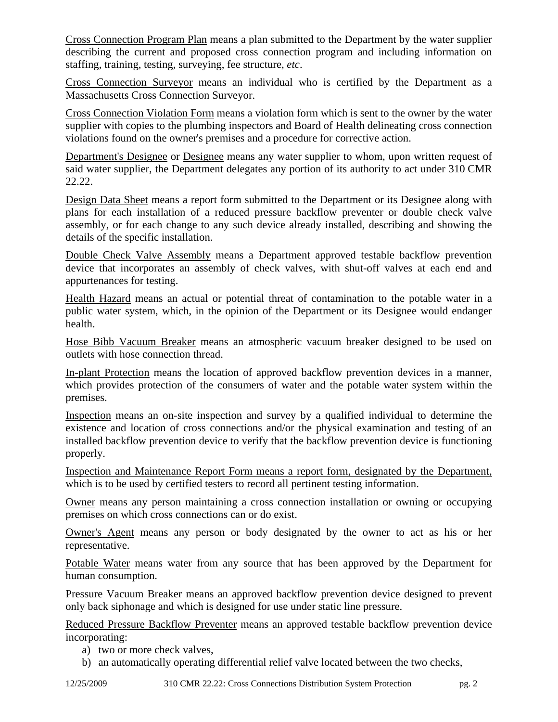Cross Connection Program Plan means a plan submitted to the Department by the water supplier describing the current and proposed cross connection program and including information on staffing, training, testing, surveying, fee structure, *etc*.

Cross Connection Surveyor means an individual who is certified by the Department as a Massachusetts Cross Connection Surveyor.

Cross Connection Violation Form means a violation form which is sent to the owner by the water supplier with copies to the plumbing inspectors and Board of Health delineating cross connection violations found on the owner's premises and a procedure for corrective action.

Department's Designee or Designee means any water supplier to whom, upon written request of said water supplier, the Department delegates any portion of its authority to act under 310 CMR 22.22.

Design Data Sheet means a report form submitted to the Department or its Designee along with plans for each installation of a reduced pressure backflow preventer or double check valve assembly, or for each change to any such device already installed, describing and showing the details of the specific installation.

Double Check Valve Assembly means a Department approved testable backflow prevention device that incorporates an assembly of check valves, with shut-off valves at each end and appurtenances for testing.

Health Hazard means an actual or potential threat of contamination to the potable water in a public water system, which, in the opinion of the Department or its Designee would endanger health.

Hose Bibb Vacuum Breaker means an atmospheric vacuum breaker designed to be used on outlets with hose connection thread.

In-plant Protection means the location of approved backflow prevention devices in a manner, which provides protection of the consumers of water and the potable water system within the premises.

Inspection means an on-site inspection and survey by a qualified individual to determine the existence and location of cross connections and/or the physical examination and testing of an installed backflow prevention device to verify that the backflow prevention device is functioning properly.

Inspection and Maintenance Report Form means a report form, designated by the Department, which is to be used by certified testers to record all pertinent testing information.

Owner means any person maintaining a cross connection installation or owning or occupying premises on which cross connections can or do exist.

Owner's Agent means any person or body designated by the owner to act as his or her representative.

Potable Water means water from any source that has been approved by the Department for human consumption.

Pressure Vacuum Breaker means an approved backflow prevention device designed to prevent only back siphonage and which is designed for use under static line pressure.

Reduced Pressure Backflow Preventer means an approved testable backflow prevention device incorporating:

- a) two or more check valves,
- b) an automatically operating differential relief valve located between the two checks,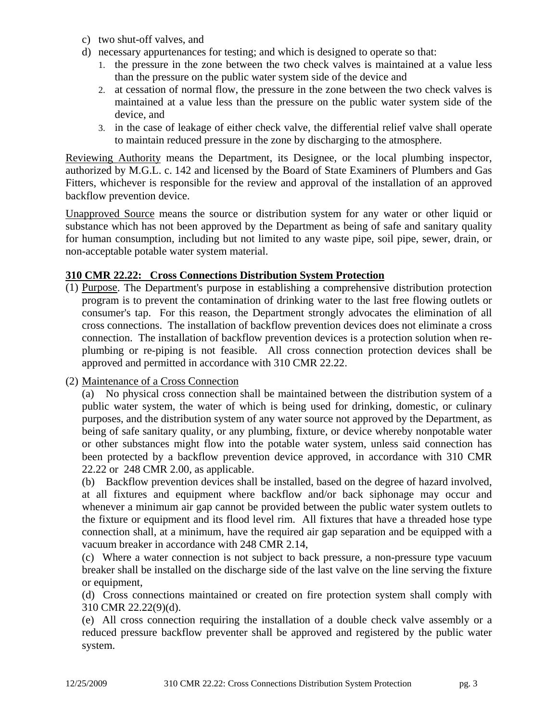- c) two shut-off valves, and
- d) necessary appurtenances for testing; and which is designed to operate so that:
	- 1. the pressure in the zone between the two check valves is maintained at a value less than the pressure on the public water system side of the device and
	- 2. at cessation of normal flow, the pressure in the zone between the two check valves is maintained at a value less than the pressure on the public water system side of the device, and
	- 3. in the case of leakage of either check valve, the differential relief valve shall operate to maintain reduced pressure in the zone by discharging to the atmosphere.

Reviewing Authority means the Department, its Designee, or the local plumbing inspector, authorized by M.G.L. c. 142 and licensed by the Board of State Examiners of Plumbers and Gas Fitters, whichever is responsible for the review and approval of the installation of an approved backflow prevention device.

Unapproved Source means the source or distribution system for any water or other liquid or substance which has not been approved by the Department as being of safe and sanitary quality for human consumption, including but not limited to any waste pipe, soil pipe, sewer, drain, or non-acceptable potable water system material.

## **310 CMR 22.22: Cross Connections Distribution System Protection**

(1) Purpose. The Department's purpose in establishing a comprehensive distribution protection program is to prevent the contamination of drinking water to the last free flowing outlets or consumer's tap. For this reason, the Department strongly advocates the elimination of all cross connections. The installation of backflow prevention devices does not eliminate a cross connection. The installation of backflow prevention devices is a protection solution when replumbing or re-piping is not feasible. All cross connection protection devices shall be approved and permitted in accordance with 310 CMR 22.22.

#### (2) Maintenance of a Cross Connection

(a) No physical cross connection shall be maintained between the distribution system of a public water system, the water of which is being used for drinking, domestic, or culinary purposes, and the distribution system of any water source not approved by the Department, as being of safe sanitary quality, or any plumbing, fixture, or device whereby nonpotable water or other substances might flow into the potable water system, unless said connection has been protected by a backflow prevention device approved, in accordance with 310 CMR 22.22 or 248 CMR 2.00, as applicable.

(b) Backflow prevention devices shall be installed, based on the degree of hazard involved, at all fixtures and equipment where backflow and/or back siphonage may occur and whenever a minimum air gap cannot be provided between the public water system outlets to the fixture or equipment and its flood level rim. All fixtures that have a threaded hose type connection shall, at a minimum, have the required air gap separation and be equipped with a vacuum breaker in accordance with 248 CMR 2.14,

(c) Where a water connection is not subject to back pressure, a non-pressure type vacuum breaker shall be installed on the discharge side of the last valve on the line serving the fixture or equipment,

(d) Cross connections maintained or created on fire protection system shall comply with 310 CMR 22.22(9)(d).

(e) All cross connection requiring the installation of a double check valve assembly or a reduced pressure backflow preventer shall be approved and registered by the public water system.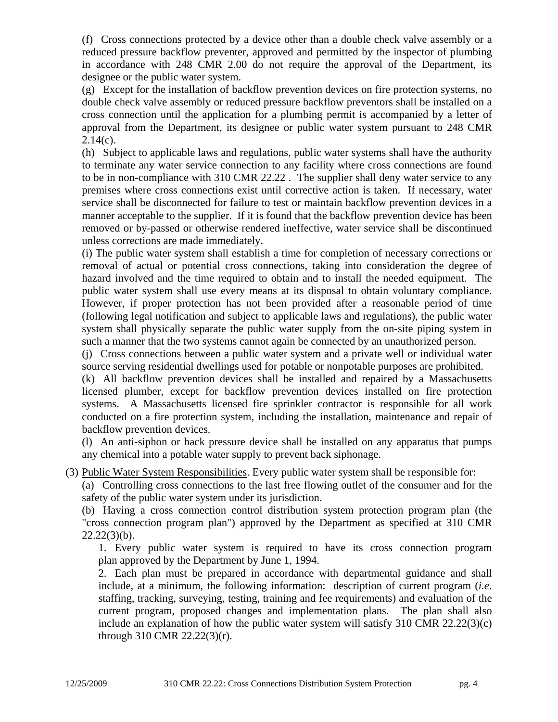(f) Cross connections protected by a device other than a double check valve assembly or a reduced pressure backflow preventer, approved and permitted by the inspector of plumbing in accordance with 248 CMR 2.00 do not require the approval of the Department, its designee or the public water system.

(g) Except for the installation of backflow prevention devices on fire protection systems, no double check valve assembly or reduced pressure backflow preventors shall be installed on a cross connection until the application for a plumbing permit is accompanied by a letter of approval from the Department, its designee or public water system pursuant to 248 CMR  $2.14(c)$ .

(h) Subject to applicable laws and regulations, public water systems shall have the authority to terminate any water service connection to any facility where cross connections are found to be in non-compliance with 310 CMR 22.22 . The supplier shall deny water service to any premises where cross connections exist until corrective action is taken. If necessary, water service shall be disconnected for failure to test or maintain backflow prevention devices in a manner acceptable to the supplier. If it is found that the backflow prevention device has been removed or by-passed or otherwise rendered ineffective, water service shall be discontinued unless corrections are made immediately.

(i) The public water system shall establish a time for completion of necessary corrections or removal of actual or potential cross connections, taking into consideration the degree of hazard involved and the time required to obtain and to install the needed equipment. The public water system shall use every means at its disposal to obtain voluntary compliance. However, if proper protection has not been provided after a reasonable period of time (following legal notification and subject to applicable laws and regulations), the public water system shall physically separate the public water supply from the on-site piping system in such a manner that the two systems cannot again be connected by an unauthorized person.

(j) Cross connections between a public water system and a private well or individual water source serving residential dwellings used for potable or nonpotable purposes are prohibited.

(k) All backflow prevention devices shall be installed and repaired by a Massachusetts licensed plumber, except for backflow prevention devices installed on fire protection systems. A Massachusetts licensed fire sprinkler contractor is responsible for all work conducted on a fire protection system, including the installation, maintenance and repair of backflow prevention devices.

(l) An anti-siphon or back pressure device shall be installed on any apparatus that pumps any chemical into a potable water supply to prevent back siphonage.

(3) Public Water System Responsibilities. Every public water system shall be responsible for:

(a) Controlling cross connections to the last free flowing outlet of the consumer and for the safety of the public water system under its jurisdiction.

(b) Having a cross connection control distribution system protection program plan (the "cross connection program plan") approved by the Department as specified at 310 CMR  $22.22(3)(b)$ .

1. Every public water system is required to have its cross connection program plan approved by the Department by June 1, 1994.

2. Each plan must be prepared in accordance with departmental guidance and shall include, at a minimum, the following information: description of current program (*i.e*. staffing, tracking, surveying, testing, training and fee requirements) and evaluation of the current program, proposed changes and implementation plans. The plan shall also include an explanation of how the public water system will satisfy 310 CMR 22.22(3)(c) through 310 CMR 22.22(3)(r).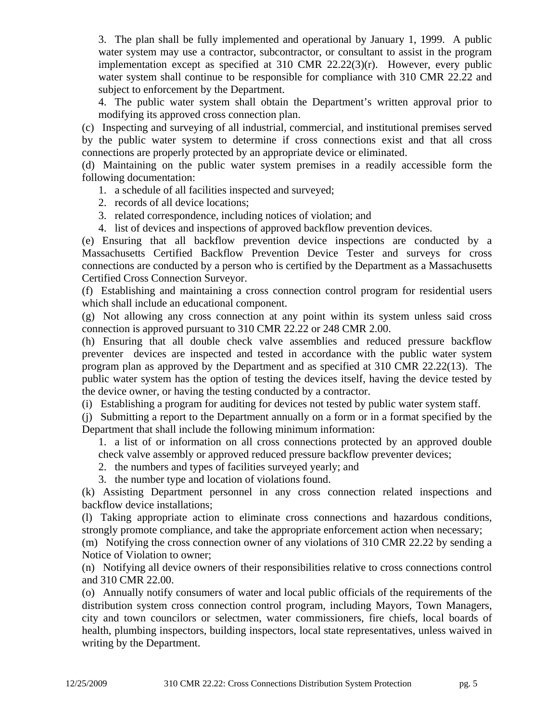3. The plan shall be fully implemented and operational by January 1, 1999. A public water system may use a contractor, subcontractor, or consultant to assist in the program implementation except as specified at  $310$  CMR  $22.22(3)(r)$ . However, every public water system shall continue to be responsible for compliance with 310 CMR 22.22 and subject to enforcement by the Department.

4. The public water system shall obtain the Department's written approval prior to modifying its approved cross connection plan.

(c) Inspecting and surveying of all industrial, commercial, and institutional premises served by the public water system to determine if cross connections exist and that all cross connections are properly protected by an appropriate device or eliminated.

(d) Maintaining on the public water system premises in a readily accessible form the following documentation:

- 1. a schedule of all facilities inspected and surveyed;
- 2. records of all device locations;
- 3. related correspondence, including notices of violation; and
- 4. list of devices and inspections of approved backflow prevention devices.

(e) Ensuring that all backflow prevention device inspections are conducted by a Massachusetts Certified Backflow Prevention Device Tester and surveys for cross connections are conducted by a person who is certified by the Department as a Massachusetts Certified Cross Connection Surveyor.

(f) Establishing and maintaining a cross connection control program for residential users which shall include an educational component.

(g) Not allowing any cross connection at any point within its system unless said cross connection is approved pursuant to 310 CMR 22.22 or 248 CMR 2.00.

(h) Ensuring that all double check valve assemblies and reduced pressure backflow preventer devices are inspected and tested in accordance with the public water system program plan as approved by the Department and as specified at 310 CMR 22.22(13). The public water system has the option of testing the devices itself, having the device tested by the device owner, or having the testing conducted by a contractor.

(i) Establishing a program for auditing for devices not tested by public water system staff.

(j) Submitting a report to the Department annually on a form or in a format specified by the Department that shall include the following minimum information:

1. a list of or information on all cross connections protected by an approved double check valve assembly or approved reduced pressure backflow preventer devices;

- 2. the numbers and types of facilities surveyed yearly; and
- 3. the number type and location of violations found.

(k) Assisting Department personnel in any cross connection related inspections and backflow device installations;

(l) Taking appropriate action to eliminate cross connections and hazardous conditions, strongly promote compliance, and take the appropriate enforcement action when necessary;

(m) Notifying the cross connection owner of any violations of 310 CMR 22.22 by sending a Notice of Violation to owner;

(n) Notifying all device owners of their responsibilities relative to cross connections control and 310 CMR 22.00.

(o) Annually notify consumers of water and local public officials of the requirements of the distribution system cross connection control program, including Mayors, Town Managers, city and town councilors or selectmen, water commissioners, fire chiefs, local boards of health, plumbing inspectors, building inspectors, local state representatives, unless waived in writing by the Department.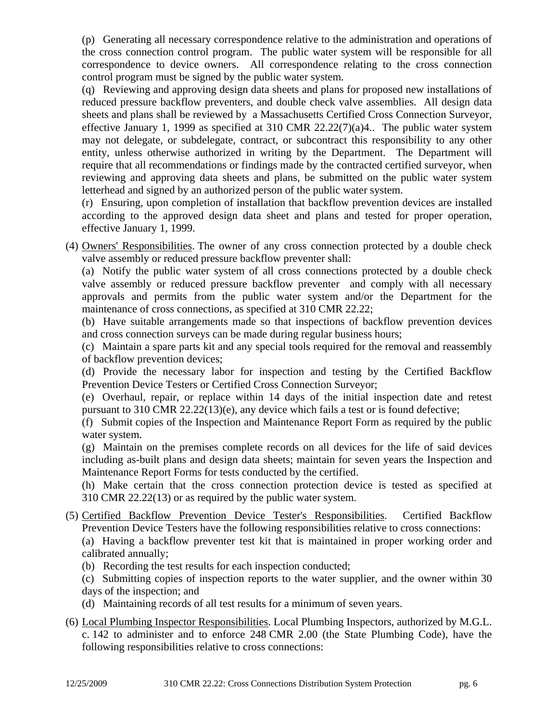(p) Generating all necessary correspondence relative to the administration and operations of the cross connection control program. The public water system will be responsible for all correspondence to device owners. All correspondence relating to the cross connection control program must be signed by the public water system.

(q) Reviewing and approving design data sheets and plans for proposed new installations of reduced pressure backflow preventers, and double check valve assemblies. All design data sheets and plans shall be reviewed by a Massachusetts Certified Cross Connection Surveyor, effective January 1, 1999 as specified at 310 CMR  $22.22(7)(a)4$ .. The public water system may not delegate, or subdelegate, contract, or subcontract this responsibility to any other entity, unless otherwise authorized in writing by the Department. The Department will require that all recommendations or findings made by the contracted certified surveyor, when reviewing and approving data sheets and plans, be submitted on the public water system letterhead and signed by an authorized person of the public water system.

(r) Ensuring, upon completion of installation that backflow prevention devices are installed according to the approved design data sheet and plans and tested for proper operation, effective January 1, 1999.

(4) Owners' Responsibilities. The owner of any cross connection protected by a double check valve assembly or reduced pressure backflow preventer shall:

(a) Notify the public water system of all cross connections protected by a double check valve assembly or reduced pressure backflow preventer and comply with all necessary approvals and permits from the public water system and/or the Department for the maintenance of cross connections, as specified at 310 CMR 22.22;

(b) Have suitable arrangements made so that inspections of backflow prevention devices and cross connection surveys can be made during regular business hours;

(c) Maintain a spare parts kit and any special tools required for the removal and reassembly of backflow prevention devices;

(d) Provide the necessary labor for inspection and testing by the Certified Backflow Prevention Device Testers or Certified Cross Connection Surveyor;

(e) Overhaul, repair, or replace within 14 days of the initial inspection date and retest pursuant to 310 CMR 22.22(13)(e), any device which fails a test or is found defective;

(f) Submit copies of the Inspection and Maintenance Report Form as required by the public water system.

(g) Maintain on the premises complete records on all devices for the life of said devices including as-built plans and design data sheets; maintain for seven years the Inspection and Maintenance Report Forms for tests conducted by the certified.

(h) Make certain that the cross connection protection device is tested as specified at 310 CMR 22.22(13) or as required by the public water system.

(5) Certified Backflow Prevention Device Tester's Responsibilities. Certified Backflow Prevention Device Testers have the following responsibilities relative to cross connections:

(a) Having a backflow preventer test kit that is maintained in proper working order and calibrated annually;

- (b) Recording the test results for each inspection conducted;
- (c) Submitting copies of inspection reports to the water supplier, and the owner within 30 days of the inspection; and
- (d) Maintaining records of all test results for a minimum of seven years.
- (6) Local Plumbing Inspector Responsibilities. Local Plumbing Inspectors, authorized by M.G.L. c. 142 to administer and to enforce 248 CMR 2.00 (the State Plumbing Code), have the following responsibilities relative to cross connections: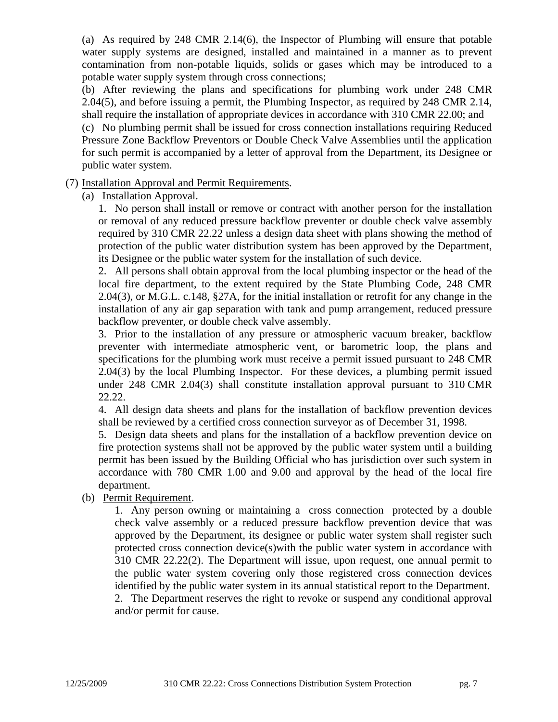(a) As required by 248 CMR 2.14(6), the Inspector of Plumbing will ensure that potable water supply systems are designed, installed and maintained in a manner as to prevent contamination from non-potable liquids, solids or gases which may be introduced to a potable water supply system through cross connections;

(b) After reviewing the plans and specifications for plumbing work under 248 CMR 2.04(5), and before issuing a permit, the Plumbing Inspector, as required by 248 CMR 2.14, shall require the installation of appropriate devices in accordance with 310 CMR 22.00; and

(c) No plumbing permit shall be issued for cross connection installations requiring Reduced Pressure Zone Backflow Preventors or Double Check Valve Assemblies until the application for such permit is accompanied by a letter of approval from the Department, its Designee or public water system.

## (7) Installation Approval and Permit Requirements.

(a) Installation Approval.

1. No person shall install or remove or contract with another person for the installation or removal of any reduced pressure backflow preventer or double check valve assembly required by 310 CMR 22.22 unless a design data sheet with plans showing the method of protection of the public water distribution system has been approved by the Department, its Designee or the public water system for the installation of such device.

2. All persons shall obtain approval from the local plumbing inspector or the head of the local fire department, to the extent required by the State Plumbing Code, 248 CMR 2.04(3), or M.G.L. c.148, §27A, for the initial installation or retrofit for any change in the installation of any air gap separation with tank and pump arrangement, reduced pressure backflow preventer, or double check valve assembly.

3. Prior to the installation of any pressure or atmospheric vacuum breaker, backflow preventer with intermediate atmospheric vent, or barometric loop, the plans and specifications for the plumbing work must receive a permit issued pursuant to 248 CMR 2.04(3) by the local Plumbing Inspector. For these devices, a plumbing permit issued under 248 CMR 2.04(3) shall constitute installation approval pursuant to 310 CMR 22.22.

4. All design data sheets and plans for the installation of backflow prevention devices shall be reviewed by a certified cross connection surveyor as of December 31, 1998.

5. Design data sheets and plans for the installation of a backflow prevention device on fire protection systems shall not be approved by the public water system until a building permit has been issued by the Building Official who has jurisdiction over such system in accordance with 780 CMR 1.00 and 9.00 and approval by the head of the local fire department.

(b) Permit Requirement.

1. Any person owning or maintaining a cross connection protected by a double check valve assembly or a reduced pressure backflow prevention device that was approved by the Department, its designee or public water system shall register such protected cross connection device(s)with the public water system in accordance with 310 CMR 22.22(2). The Department will issue, upon request, one annual permit to the public water system covering only those registered cross connection devices identified by the public water system in its annual statistical report to the Department. 2. The Department reserves the right to revoke or suspend any conditional approval and/or permit for cause.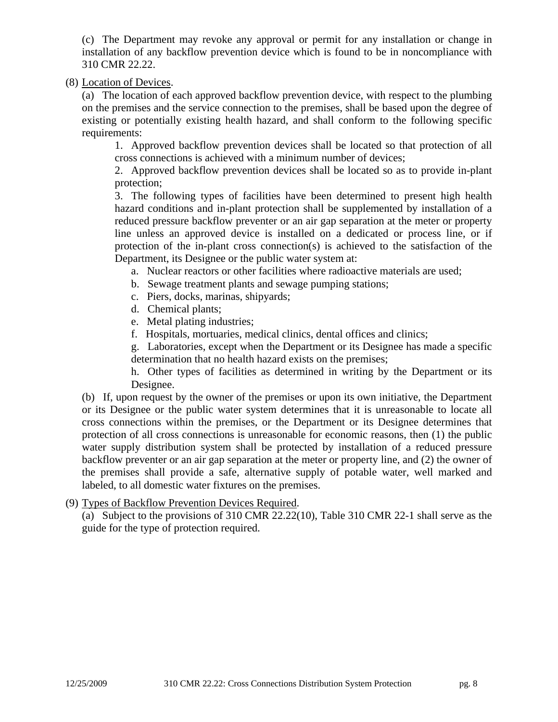(c) The Department may revoke any approval or permit for any installation or change in installation of any backflow prevention device which is found to be in noncompliance with 310 CMR 22.22.

(8) Location of Devices.

(a) The location of each approved backflow prevention device, with respect to the plumbing on the premises and the service connection to the premises, shall be based upon the degree of existing or potentially existing health hazard, and shall conform to the following specific requirements:

1. Approved backflow prevention devices shall be located so that protection of all cross connections is achieved with a minimum number of devices;

2. Approved backflow prevention devices shall be located so as to provide in-plant protection;

3. The following types of facilities have been determined to present high health hazard conditions and in-plant protection shall be supplemented by installation of a reduced pressure backflow preventer or an air gap separation at the meter or property line unless an approved device is installed on a dedicated or process line, or if protection of the in-plant cross connection(s) is achieved to the satisfaction of the Department, its Designee or the public water system at:

- a. Nuclear reactors or other facilities where radioactive materials are used;
- b. Sewage treatment plants and sewage pumping stations;
- c. Piers, docks, marinas, shipyards;
- d. Chemical plants;
- e. Metal plating industries;
- f. Hospitals, mortuaries, medical clinics, dental offices and clinics;

g. Laboratories, except when the Department or its Designee has made a specific determination that no health hazard exists on the premises;

h. Other types of facilities as determined in writing by the Department or its Designee.

(b) If, upon request by the owner of the premises or upon its own initiative, the Department or its Designee or the public water system determines that it is unreasonable to locate all cross connections within the premises, or the Department or its Designee determines that protection of all cross connections is unreasonable for economic reasons, then (1) the public water supply distribution system shall be protected by installation of a reduced pressure backflow preventer or an air gap separation at the meter or property line, and (2) the owner of the premises shall provide a safe, alternative supply of potable water, well marked and labeled, to all domestic water fixtures on the premises.

(9) Types of Backflow Prevention Devices Required.

(a) Subject to the provisions of 310 CMR 22.22(10), Table 310 CMR 22-1 shall serve as the guide for the type of protection required.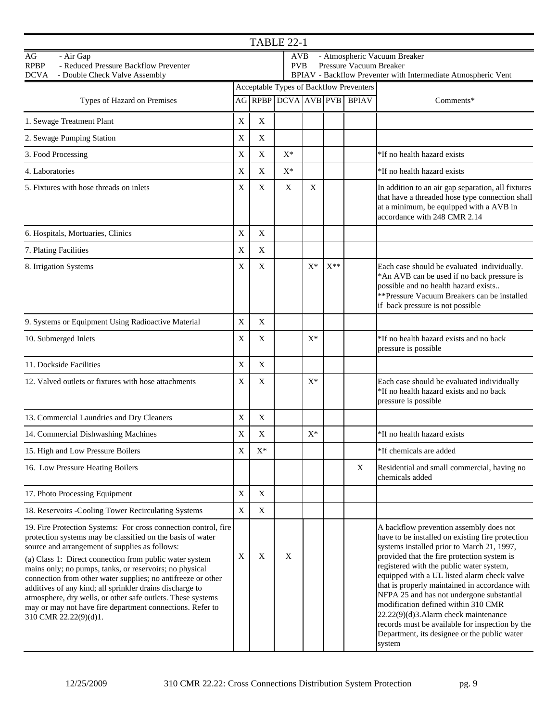| <b>TABLE 22-1</b>                                                                                                                                                                                                                                                                                                                                                                                                                                                                                                                                                                      |              |                                                |       |                                                                                                                                               |          |                                   |                                                                                                                                                                                                                                                                                                                                                                                                                                                                                                                                                                                |  |  |  |  |
|----------------------------------------------------------------------------------------------------------------------------------------------------------------------------------------------------------------------------------------------------------------------------------------------------------------------------------------------------------------------------------------------------------------------------------------------------------------------------------------------------------------------------------------------------------------------------------------|--------------|------------------------------------------------|-------|-----------------------------------------------------------------------------------------------------------------------------------------------|----------|-----------------------------------|--------------------------------------------------------------------------------------------------------------------------------------------------------------------------------------------------------------------------------------------------------------------------------------------------------------------------------------------------------------------------------------------------------------------------------------------------------------------------------------------------------------------------------------------------------------------------------|--|--|--|--|
| $\rm{AG}$<br>- Air Gap<br><b>RPBP</b><br>- Reduced Pressure Backflow Preventer<br><b>DCVA</b><br>- Double Check Valve Assembly                                                                                                                                                                                                                                                                                                                                                                                                                                                         |              |                                                |       | - Atmospheric Vacuum Breaker<br>AVB<br>Pressure Vacuum Breaker<br><b>PVB</b><br>BPIAV - Backflow Preventer with Intermediate Atmospheric Vent |          |                                   |                                                                                                                                                                                                                                                                                                                                                                                                                                                                                                                                                                                |  |  |  |  |
|                                                                                                                                                                                                                                                                                                                                                                                                                                                                                                                                                                                        |              | <b>Acceptable Types of Backflow Preventers</b> |       |                                                                                                                                               |          |                                   |                                                                                                                                                                                                                                                                                                                                                                                                                                                                                                                                                                                |  |  |  |  |
| Types of Hazard on Premises                                                                                                                                                                                                                                                                                                                                                                                                                                                                                                                                                            |              |                                                |       |                                                                                                                                               |          | <b>AG RPBP DCVA AVB PVB BPIAV</b> | Comments*                                                                                                                                                                                                                                                                                                                                                                                                                                                                                                                                                                      |  |  |  |  |
| 1. Sewage Treatment Plant                                                                                                                                                                                                                                                                                                                                                                                                                                                                                                                                                              | X            | X                                              |       |                                                                                                                                               |          |                                   |                                                                                                                                                                                                                                                                                                                                                                                                                                                                                                                                                                                |  |  |  |  |
| 2. Sewage Pumping Station                                                                                                                                                                                                                                                                                                                                                                                                                                                                                                                                                              | $\mathbf X$  | $\mathbf X$                                    |       |                                                                                                                                               |          |                                   |                                                                                                                                                                                                                                                                                                                                                                                                                                                                                                                                                                                |  |  |  |  |
| 3. Food Processing                                                                                                                                                                                                                                                                                                                                                                                                                                                                                                                                                                     | X            | X                                              | $X^*$ |                                                                                                                                               |          |                                   | *If no health hazard exists                                                                                                                                                                                                                                                                                                                                                                                                                                                                                                                                                    |  |  |  |  |
| 4. Laboratories                                                                                                                                                                                                                                                                                                                                                                                                                                                                                                                                                                        | X            | X                                              | $X^*$ |                                                                                                                                               |          |                                   | *If no health hazard exists                                                                                                                                                                                                                                                                                                                                                                                                                                                                                                                                                    |  |  |  |  |
| 5. Fixtures with hose threads on inlets                                                                                                                                                                                                                                                                                                                                                                                                                                                                                                                                                | $\mathbf X$  | X                                              | X     | X                                                                                                                                             |          |                                   | In addition to an air gap separation, all fixtures<br>that have a threaded hose type connection shall<br>at a minimum, be equipped with a AVB in<br>accordance with 248 CMR 2.14                                                                                                                                                                                                                                                                                                                                                                                               |  |  |  |  |
| 6. Hospitals, Mortuaries, Clinics                                                                                                                                                                                                                                                                                                                                                                                                                                                                                                                                                      | $\mathbf X$  | X                                              |       |                                                                                                                                               |          |                                   |                                                                                                                                                                                                                                                                                                                                                                                                                                                                                                                                                                                |  |  |  |  |
| 7. Plating Facilities                                                                                                                                                                                                                                                                                                                                                                                                                                                                                                                                                                  | $\mathbf X$  | $\mathbf X$                                    |       |                                                                                                                                               |          |                                   |                                                                                                                                                                                                                                                                                                                                                                                                                                                                                                                                                                                |  |  |  |  |
| 8. Irrigation Systems                                                                                                                                                                                                                                                                                                                                                                                                                                                                                                                                                                  | X            | X                                              |       | $X^*$                                                                                                                                         | $X^{**}$ |                                   | Each case should be evaluated individually.<br>*An AVB can be used if no back pressure is<br>possible and no health hazard exists<br>**Pressure Vacuum Breakers can be installed<br>if back pressure is not possible                                                                                                                                                                                                                                                                                                                                                           |  |  |  |  |
| 9. Systems or Equipment Using Radioactive Material                                                                                                                                                                                                                                                                                                                                                                                                                                                                                                                                     | X            | X                                              |       |                                                                                                                                               |          |                                   |                                                                                                                                                                                                                                                                                                                                                                                                                                                                                                                                                                                |  |  |  |  |
| 10. Submerged Inlets                                                                                                                                                                                                                                                                                                                                                                                                                                                                                                                                                                   | $\mathbf X$  | X                                              |       | $X^*$                                                                                                                                         |          |                                   | *If no health hazard exists and no back<br>pressure is possible                                                                                                                                                                                                                                                                                                                                                                                                                                                                                                                |  |  |  |  |
| 11. Dockside Facilities                                                                                                                                                                                                                                                                                                                                                                                                                                                                                                                                                                | $\mathbf X$  | X                                              |       |                                                                                                                                               |          |                                   |                                                                                                                                                                                                                                                                                                                                                                                                                                                                                                                                                                                |  |  |  |  |
| 12. Valved outlets or fixtures with hose attachments                                                                                                                                                                                                                                                                                                                                                                                                                                                                                                                                   | $\mathbf{X}$ | X                                              |       | X*                                                                                                                                            |          |                                   | Each case should be evaluated individually<br>*If no health hazard exists and no back<br>pressure is possible                                                                                                                                                                                                                                                                                                                                                                                                                                                                  |  |  |  |  |
| 13. Commercial Laundries and Dry Cleaners                                                                                                                                                                                                                                                                                                                                                                                                                                                                                                                                              | X            | X                                              |       |                                                                                                                                               |          |                                   |                                                                                                                                                                                                                                                                                                                                                                                                                                                                                                                                                                                |  |  |  |  |
| 14. Commercial Dishwashing Machines                                                                                                                                                                                                                                                                                                                                                                                                                                                                                                                                                    | X            | $\boldsymbol{\mathrm{X}}$                      |       | $X^*$                                                                                                                                         |          |                                   | *If no health hazard exists                                                                                                                                                                                                                                                                                                                                                                                                                                                                                                                                                    |  |  |  |  |
| 15. High and Low Pressure Boilers                                                                                                                                                                                                                                                                                                                                                                                                                                                                                                                                                      | X            | $X^*$                                          |       |                                                                                                                                               |          |                                   | *If chemicals are added                                                                                                                                                                                                                                                                                                                                                                                                                                                                                                                                                        |  |  |  |  |
| 16. Low Pressure Heating Boilers                                                                                                                                                                                                                                                                                                                                                                                                                                                                                                                                                       |              |                                                |       |                                                                                                                                               |          | X                                 | Residential and small commercial, having no<br>chemicals added                                                                                                                                                                                                                                                                                                                                                                                                                                                                                                                 |  |  |  |  |
| 17. Photo Processing Equipment                                                                                                                                                                                                                                                                                                                                                                                                                                                                                                                                                         | $\mathbf X$  | X                                              |       |                                                                                                                                               |          |                                   |                                                                                                                                                                                                                                                                                                                                                                                                                                                                                                                                                                                |  |  |  |  |
| 18. Reservoirs -Cooling Tower Recirculating Systems                                                                                                                                                                                                                                                                                                                                                                                                                                                                                                                                    | $\mathbf X$  | X                                              |       |                                                                                                                                               |          |                                   |                                                                                                                                                                                                                                                                                                                                                                                                                                                                                                                                                                                |  |  |  |  |
| 19. Fire Protection Systems: For cross connection control, fire<br>protection systems may be classified on the basis of water<br>source and arrangement of supplies as follows:<br>(a) Class 1: Direct connection from public water system<br>mains only; no pumps, tanks, or reservoirs; no physical<br>connection from other water supplies; no antifreeze or other<br>additives of any kind; all sprinkler drains discharge to<br>atmosphere, dry wells, or other safe outlets. These systems<br>may or may not have fire department connections. Refer to<br>310 CMR 22.22(9)(d)1. | $\mathbf X$  | X                                              | X     |                                                                                                                                               |          |                                   | A backflow prevention assembly does not<br>have to be installed on existing fire protection<br>systems installed prior to March 21, 1997,<br>provided that the fire protection system is<br>registered with the public water system,<br>equipped with a UL listed alarm check valve<br>that is properly maintained in accordance with<br>NFPA 25 and has not undergone substantial<br>modification defined within 310 CMR<br>22.22(9)(d)3.Alarm check maintenance<br>records must be available for inspection by the<br>Department, its designee or the public water<br>system |  |  |  |  |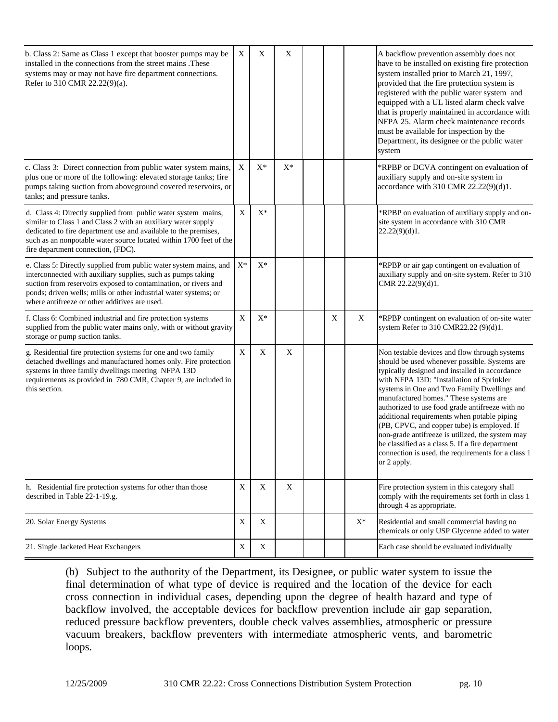| b. Class 2: Same as Class 1 except that booster pumps may be<br>installed in the connections from the street mains .These<br>systems may or may not have fire department connections.<br>Refer to 310 CMR 22.22(9)(a).                                                                                                    | $\boldsymbol{\mathrm{X}}$ | X              | $\mathbf X$ |   |       | A backflow prevention assembly does not<br>have to be installed on existing fire protection<br>system installed prior to March 21, 1997,<br>provided that the fire protection system is<br>registered with the public water system and<br>equipped with a UL listed alarm check valve<br>that is properly maintained in accordance with<br>NFPA 25. Alarm check maintenance records<br>must be available for inspection by the<br>Department, its designee or the public water<br>system                                                                                                                             |
|---------------------------------------------------------------------------------------------------------------------------------------------------------------------------------------------------------------------------------------------------------------------------------------------------------------------------|---------------------------|----------------|-------------|---|-------|----------------------------------------------------------------------------------------------------------------------------------------------------------------------------------------------------------------------------------------------------------------------------------------------------------------------------------------------------------------------------------------------------------------------------------------------------------------------------------------------------------------------------------------------------------------------------------------------------------------------|
| c. Class 3: Direct connection from public water system mains,<br>plus one or more of the following: elevated storage tanks; fire<br>pumps taking suction from aboveground covered reservoirs, or<br>tanks; and pressure tanks.                                                                                            | X                         | $\mathbf{X}^*$ | $X^*$       |   |       | *RPBP or DCVA contingent on evaluation of<br>auxiliary supply and on-site system in<br>accordance with 310 CMR 22.22(9)(d)1.                                                                                                                                                                                                                                                                                                                                                                                                                                                                                         |
| d. Class 4: Directly supplied from public water system mains,<br>similar to Class 1 and Class 2 with an auxiliary water supply<br>dedicated to fire department use and available to the premises,<br>such as an nonpotable water source located within 1700 feet of the<br>fire department connection, (FDC).             | $\mathbf X$               | $X^*$          |             |   |       | *RPBP on evaluation of auxiliary supply and on-<br>site system in accordance with 310 CMR<br>22.22(9)(d)1.                                                                                                                                                                                                                                                                                                                                                                                                                                                                                                           |
| e. Class 5: Directly supplied from public water system mains, and<br>interconnected with auxiliary supplies, such as pumps taking<br>suction from reservoirs exposed to contamination, or rivers and<br>ponds; driven wells; mills or other industrial water systems; or<br>where antifreeze or other additives are used. | $X^*$                     | $X^*$          |             |   |       | *RPBP or air gap contingent on evaluation of<br>auxiliary supply and on-site system. Refer to 310<br>CMR 22.22(9)(d)1.                                                                                                                                                                                                                                                                                                                                                                                                                                                                                               |
| f. Class 6: Combined industrial and fire protection systems<br>supplied from the public water mains only, with or without gravity<br>storage or pump suction tanks.                                                                                                                                                       | X                         | $X^*$          |             | X | X     | *RPBP contingent on evaluation of on-site water<br>system Refer to 310 CMR22.22 (9)(d)1.                                                                                                                                                                                                                                                                                                                                                                                                                                                                                                                             |
| g. Residential fire protection systems for one and two family<br>detached dwellings and manufactured homes only. Fire protection<br>systems in three family dwellings meeting NFPA 13D<br>requirements as provided in 780 CMR, Chapter 9, are included in<br>this section.                                                | X                         | X              | X           |   |       | Non testable devices and flow through systems<br>should be used whenever possible. Systems are<br>typically designed and installed in accordance<br>with NFPA 13D: "Installation of Sprinkler<br>systems in One and Two Family Dwellings and<br>manufactured homes." These systems are<br>authorized to use food grade antifreeze with no<br>additional requirements when potable piping<br>(PB, CPVC, and copper tube) is employed. If<br>non-grade antifreeze is utilized, the system may<br>be classified as a class 5. If a fire department<br>connection is used, the requirements for a class 1<br>or 2 apply. |
| h. Residential fire protection systems for other than those<br>described in Table 22-1-19.g.                                                                                                                                                                                                                              | $\mathbf X$               | $\mathbf X$    | X           |   |       | Fire protection system in this category shall<br>comply with the requirements set forth in class 1<br>through 4 as appropriate.                                                                                                                                                                                                                                                                                                                                                                                                                                                                                      |
| 20. Solar Energy Systems                                                                                                                                                                                                                                                                                                  | $\mathbf X$               | X              |             |   | $X^*$ | Residential and small commercial having no<br>chemicals or only USP Glycenne added to water                                                                                                                                                                                                                                                                                                                                                                                                                                                                                                                          |
| 21. Single Jacketed Heat Exchangers                                                                                                                                                                                                                                                                                       | X                         | X              |             |   |       | Each case should be evaluated individually                                                                                                                                                                                                                                                                                                                                                                                                                                                                                                                                                                           |

(b) Subject to the authority of the Department, its Designee, or public water system to issue the final determination of what type of device is required and the location of the device for each cross connection in individual cases, depending upon the degree of health hazard and type of backflow involved, the acceptable devices for backflow prevention include air gap separation, reduced pressure backflow preventers, double check valves assemblies, atmospheric or pressure vacuum breakers, backflow preventers with intermediate atmospheric vents, and barometric loops.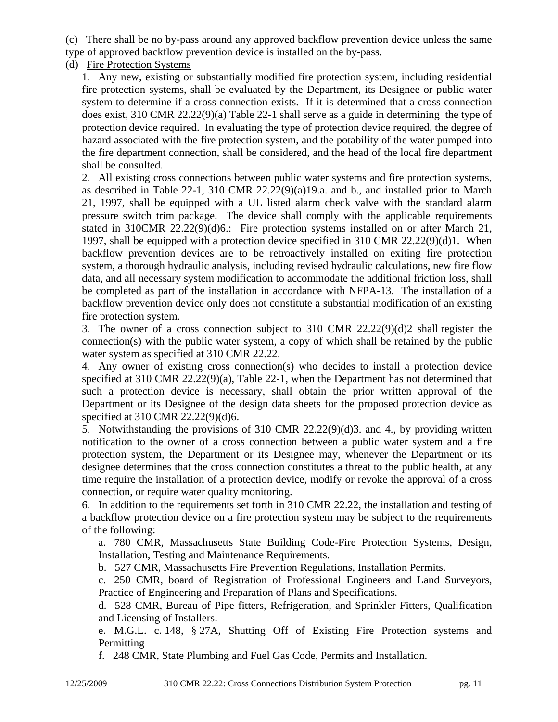(c) There shall be no by-pass around any approved backflow prevention device unless the same type of approved backflow prevention device is installed on the by-pass.

### (d) Fire Protection Systems

1. Any new, existing or substantially modified fire protection system, including residential fire protection systems, shall be evaluated by the Department, its Designee or public water system to determine if a cross connection exists. If it is determined that a cross connection does exist, 310 CMR 22.22(9)(a) Table 22-1 shall serve as a guide in determining the type of protection device required. In evaluating the type of protection device required, the degree of hazard associated with the fire protection system, and the potability of the water pumped into the fire department connection, shall be considered, and the head of the local fire department shall be consulted.

2. All existing cross connections between public water systems and fire protection systems, as described in Table 22-1, 310 CMR 22.22(9)(a)19.a. and b., and installed prior to March 21, 1997, shall be equipped with a UL listed alarm check valve with the standard alarm pressure switch trim package. The device shall comply with the applicable requirements stated in 310CMR 22.22(9)(d)6.: Fire protection systems installed on or after March 21, 1997, shall be equipped with a protection device specified in 310 CMR 22.22(9)(d)1. When backflow prevention devices are to be retroactively installed on exiting fire protection system, a thorough hydraulic analysis, including revised hydraulic calculations, new fire flow data, and all necessary system modification to accommodate the additional friction loss, shall be completed as part of the installation in accordance with NFPA-13. The installation of a backflow prevention device only does not constitute a substantial modification of an existing fire protection system.

3. The owner of a cross connection subject to 310 CMR 22.22(9)(d)2 shall register the connection(s) with the public water system, a copy of which shall be retained by the public water system as specified at 310 CMR 22.22.

4. Any owner of existing cross connection(s) who decides to install a protection device specified at 310 CMR 22.22(9)(a), Table 22-1, when the Department has not determined that such a protection device is necessary, shall obtain the prior written approval of the Department or its Designee of the design data sheets for the proposed protection device as specified at 310 CMR 22.22(9)(d)6.

5. Notwithstanding the provisions of 310 CMR 22.22(9)(d)3. and 4., by providing written notification to the owner of a cross connection between a public water system and a fire protection system, the Department or its Designee may, whenever the Department or its designee determines that the cross connection constitutes a threat to the public health, at any time require the installation of a protection device, modify or revoke the approval of a cross connection, or require water quality monitoring.

6. In addition to the requirements set forth in 310 CMR 22.22, the installation and testing of a backflow protection device on a fire protection system may be subject to the requirements of the following:

a. 780 CMR, Massachusetts State Building Code-Fire Protection Systems, Design, Installation, Testing and Maintenance Requirements.

b. 527 CMR, Massachusetts Fire Prevention Regulations, Installation Permits.

c. 250 CMR, board of Registration of Professional Engineers and Land Surveyors, Practice of Engineering and Preparation of Plans and Specifications.

d. 528 CMR, Bureau of Pipe fitters, Refrigeration, and Sprinkler Fitters, Qualification and Licensing of Installers.

e. M.G.L. c. 148, § 27A, Shutting Off of Existing Fire Protection systems and Permitting

f. 248 CMR, State Plumbing and Fuel Gas Code, Permits and Installation.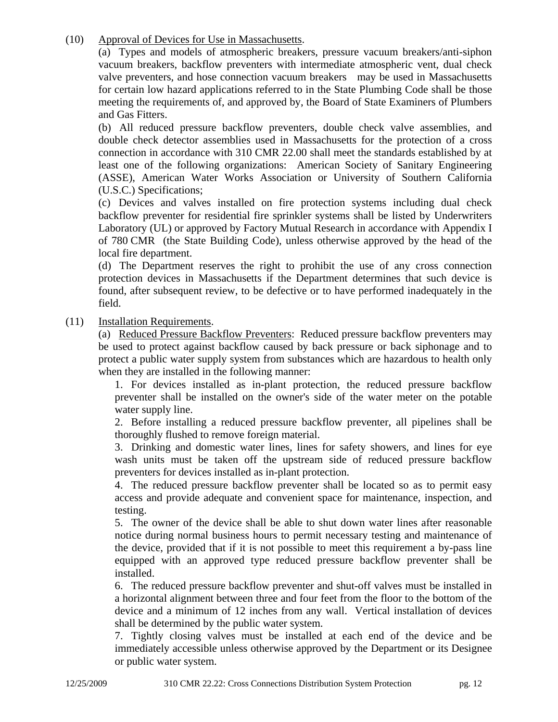(10) Approval of Devices for Use in Massachusetts.

(a) Types and models of atmospheric breakers, pressure vacuum breakers/anti-siphon vacuum breakers, backflow preventers with intermediate atmospheric vent, dual check valve preventers, and hose connection vacuum breakers may be used in Massachusetts for certain low hazard applications referred to in the State Plumbing Code shall be those meeting the requirements of, and approved by, the Board of State Examiners of Plumbers and Gas Fitters.

(b) All reduced pressure backflow preventers, double check valve assemblies, and double check detector assemblies used in Massachusetts for the protection of a cross connection in accordance with 310 CMR 22.00 shall meet the standards established by at least one of the following organizations: American Society of Sanitary Engineering (ASSE), American Water Works Association or University of Southern California (U.S.C.) Specifications;

(c) Devices and valves installed on fire protection systems including dual check backflow preventer for residential fire sprinkler systems shall be listed by Underwriters Laboratory (UL) or approved by Factory Mutual Research in accordance with Appendix I of 780 CMR (the State Building Code), unless otherwise approved by the head of the local fire department.

(d) The Department reserves the right to prohibit the use of any cross connection protection devices in Massachusetts if the Department determines that such device is found, after subsequent review, to be defective or to have performed inadequately in the field.

(11) Installation Requirements.

(a) Reduced Pressure Backflow Preventers: Reduced pressure backflow preventers may be used to protect against backflow caused by back pressure or back siphonage and to protect a public water supply system from substances which are hazardous to health only when they are installed in the following manner:

1. For devices installed as in-plant protection, the reduced pressure backflow preventer shall be installed on the owner's side of the water meter on the potable water supply line.

2. Before installing a reduced pressure backflow preventer, all pipelines shall be thoroughly flushed to remove foreign material.

3. Drinking and domestic water lines, lines for safety showers, and lines for eye wash units must be taken off the upstream side of reduced pressure backflow preventers for devices installed as in-plant protection.

4. The reduced pressure backflow preventer shall be located so as to permit easy access and provide adequate and convenient space for maintenance, inspection, and testing.

5. The owner of the device shall be able to shut down water lines after reasonable notice during normal business hours to permit necessary testing and maintenance of the device, provided that if it is not possible to meet this requirement a by-pass line equipped with an approved type reduced pressure backflow preventer shall be installed.

6. The reduced pressure backflow preventer and shut-off valves must be installed in a horizontal alignment between three and four feet from the floor to the bottom of the device and a minimum of 12 inches from any wall. Vertical installation of devices shall be determined by the public water system.

7. Tightly closing valves must be installed at each end of the device and be immediately accessible unless otherwise approved by the Department or its Designee or public water system.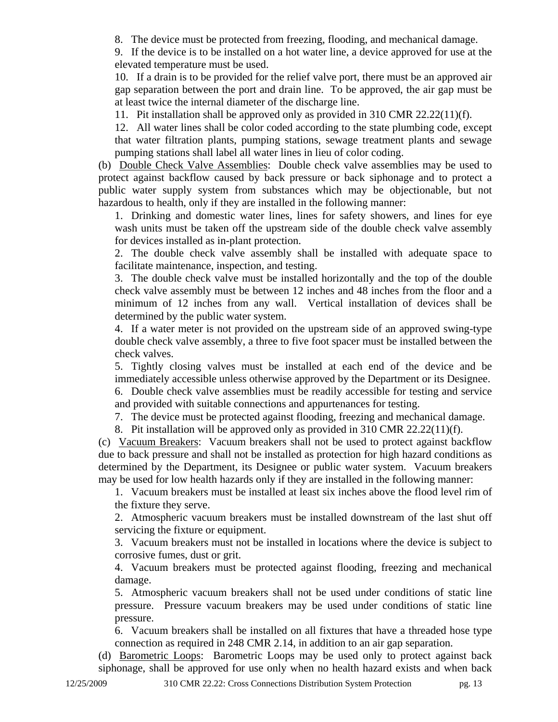8. The device must be protected from freezing, flooding, and mechanical damage.

9. If the device is to be installed on a hot water line, a device approved for use at the elevated temperature must be used.

10. If a drain is to be provided for the relief valve port, there must be an approved air gap separation between the port and drain line. To be approved, the air gap must be at least twice the internal diameter of the discharge line.

11. Pit installation shall be approved only as provided in 310 CMR 22.22(11)(f).

12. All water lines shall be color coded according to the state plumbing code, except that water filtration plants, pumping stations, sewage treatment plants and sewage pumping stations shall label all water lines in lieu of color coding.

(b) Double Check Valve Assemblies: Double check valve assemblies may be used to protect against backflow caused by back pressure or back siphonage and to protect a public water supply system from substances which may be objectionable, but not hazardous to health, only if they are installed in the following manner:

1. Drinking and domestic water lines, lines for safety showers, and lines for eye wash units must be taken off the upstream side of the double check valve assembly for devices installed as in-plant protection.

2. The double check valve assembly shall be installed with adequate space to facilitate maintenance, inspection, and testing.

3. The double check valve must be installed horizontally and the top of the double check valve assembly must be between 12 inches and 48 inches from the floor and a minimum of 12 inches from any wall. Vertical installation of devices shall be determined by the public water system.

4. If a water meter is not provided on the upstream side of an approved swing-type double check valve assembly, a three to five foot spacer must be installed between the check valves.

5. Tightly closing valves must be installed at each end of the device and be immediately accessible unless otherwise approved by the Department or its Designee.

6. Double check valve assemblies must be readily accessible for testing and service and provided with suitable connections and appurtenances for testing.

7. The device must be protected against flooding, freezing and mechanical damage.

8. Pit installation will be approved only as provided in 310 CMR 22.22(11)(f).

(c) Vacuum Breakers: Vacuum breakers shall not be used to protect against backflow due to back pressure and shall not be installed as protection for high hazard conditions as determined by the Department, its Designee or public water system. Vacuum breakers may be used for low health hazards only if they are installed in the following manner:

1. Vacuum breakers must be installed at least six inches above the flood level rim of the fixture they serve.

2. Atmospheric vacuum breakers must be installed downstream of the last shut off servicing the fixture or equipment.

3. Vacuum breakers must not be installed in locations where the device is subject to corrosive fumes, dust or grit.

4. Vacuum breakers must be protected against flooding, freezing and mechanical damage.

5. Atmospheric vacuum breakers shall not be used under conditions of static line pressure. Pressure vacuum breakers may be used under conditions of static line pressure.

6. Vacuum breakers shall be installed on all fixtures that have a threaded hose type connection as required in 248 CMR 2.14, in addition to an air gap separation.

(d) Barometric Loops: Barometric Loops may be used only to protect against back siphonage, shall be approved for use only when no health hazard exists and when back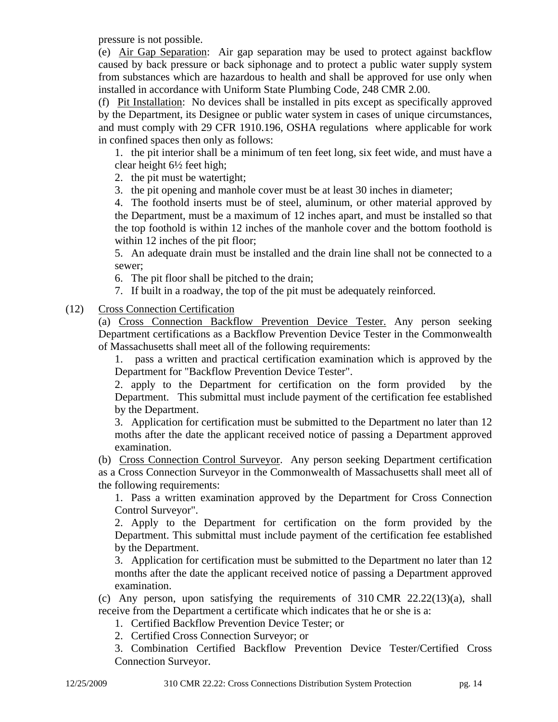pressure is not possible.

(e) Air Gap Separation: Air gap separation may be used to protect against backflow caused by back pressure or back siphonage and to protect a public water supply system from substances which are hazardous to health and shall be approved for use only when installed in accordance with Uniform State Plumbing Code, 248 CMR 2.00.

(f) Pit Installation: No devices shall be installed in pits except as specifically approved by the Department, its Designee or public water system in cases of unique circumstances, and must comply with 29 CFR 1910.196, OSHA regulations where applicable for work in confined spaces then only as follows:

1. the pit interior shall be a minimum of ten feet long, six feet wide, and must have a clear height 6½ feet high;

2. the pit must be watertight;

3. the pit opening and manhole cover must be at least 30 inches in diameter;

4. The foothold inserts must be of steel, aluminum, or other material approved by the Department, must be a maximum of 12 inches apart, and must be installed so that the top foothold is within 12 inches of the manhole cover and the bottom foothold is within 12 inches of the pit floor;

5. An adequate drain must be installed and the drain line shall not be connected to a sewer;

6. The pit floor shall be pitched to the drain;

7. If built in a roadway, the top of the pit must be adequately reinforced.

(12) Cross Connection Certification

(a) Cross Connection Backflow Prevention Device Tester. Any person seeking Department certifications as a Backflow Prevention Device Tester in the Commonwealth of Massachusetts shall meet all of the following requirements:

1. pass a written and practical certification examination which is approved by the Department for "Backflow Prevention Device Tester".

2. apply to the Department for certification on the form provided by the Department. This submittal must include payment of the certification fee established by the Department.

3. Application for certification must be submitted to the Department no later than 12 moths after the date the applicant received notice of passing a Department approved examination.

(b) Cross Connection Control Surveyor. Any person seeking Department certification as a Cross Connection Surveyor in the Commonwealth of Massachusetts shall meet all of the following requirements:

1. Pass a written examination approved by the Department for Cross Connection Control Surveyor".

2. Apply to the Department for certification on the form provided by the Department. This submittal must include payment of the certification fee established by the Department.

3. Application for certification must be submitted to the Department no later than 12 months after the date the applicant received notice of passing a Department approved examination.

(c) Any person, upon satisfying the requirements of  $310 \text{ CMR}$  22.22(13)(a), shall receive from the Department a certificate which indicates that he or she is a:

1. Certified Backflow Prevention Device Tester; or

2. Certified Cross Connection Surveyor; or

3. Combination Certified Backflow Prevention Device Tester/Certified Cross Connection Surveyor.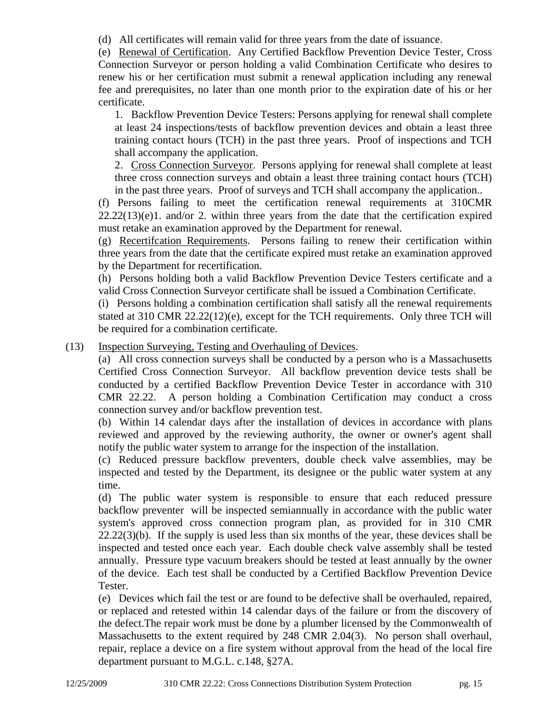(d) All certificates will remain valid for three years from the date of issuance.

(e) Renewal of Certification. Any Certified Backflow Prevention Device Tester, Cross Connection Surveyor or person holding a valid Combination Certificate who desires to renew his or her certification must submit a renewal application including any renewal fee and prerequisites, no later than one month prior to the expiration date of his or her certificate.

1. Backflow Prevention Device Testers: Persons applying for renewal shall complete at least 24 inspections/tests of backflow prevention devices and obtain a least three training contact hours (TCH) in the past three years. Proof of inspections and TCH shall accompany the application.

2. Cross Connection Surveyor. Persons applying for renewal shall complete at least three cross connection surveys and obtain a least three training contact hours (TCH) in the past three years. Proof of surveys and TCH shall accompany the application..

(f) Persons failing to meet the certification renewal requirements at 310CMR  $22.22(13)(e)1$ . and/or 2. within three years from the date that the certification expired must retake an examination approved by the Department for renewal.

(g) Recertifcation Requirements. Persons failing to renew their certification within three years from the date that the certificate expired must retake an examination approved by the Department for recertification.

(h) Persons holding both a valid Backflow Prevention Device Testers certificate and a valid Cross Connection Surveyor certificate shall be issued a Combination Certificate.

(i) Persons holding a combination certification shall satisfy all the renewal requirements stated at 310 CMR 22.22(12)(e), except for the TCH requirements. Only three TCH will be required for a combination certificate.

(13) Inspection Surveying, Testing and Overhauling of Devices.

(a) All cross connection surveys shall be conducted by a person who is a Massachusetts Certified Cross Connection Surveyor. All backflow prevention device tests shall be conducted by a certified Backflow Prevention Device Tester in accordance with 310 CMR 22.22. A person holding a Combination Certification may conduct a cross connection survey and/or backflow prevention test.

(b) Within 14 calendar days after the installation of devices in accordance with plans reviewed and approved by the reviewing authority, the owner or owner's agent shall notify the public water system to arrange for the inspection of the installation.

(c) Reduced pressure backflow preventers, double check valve assemblies, may be inspected and tested by the Department, its designee or the public water system at any time.

(d) The public water system is responsible to ensure that each reduced pressure backflow preventer will be inspected semiannually in accordance with the public water system's approved cross connection program plan, as provided for in 310 CMR 22.22(3)(b). If the supply is used less than six months of the year, these devices shall be inspected and tested once each year. Each double check valve assembly shall be tested annually. Pressure type vacuum breakers should be tested at least annually by the owner of the device. Each test shall be conducted by a Certified Backflow Prevention Device Tester.

(e) Devices which fail the test or are found to be defective shall be overhauled, repaired, or replaced and retested within 14 calendar days of the failure or from the discovery of the defect.The repair work must be done by a plumber licensed by the Commonwealth of Massachusetts to the extent required by 248 CMR 2.04(3). No person shall overhaul, repair, replace a device on a fire system without approval from the head of the local fire department pursuant to M.G.L. c.148, §27A.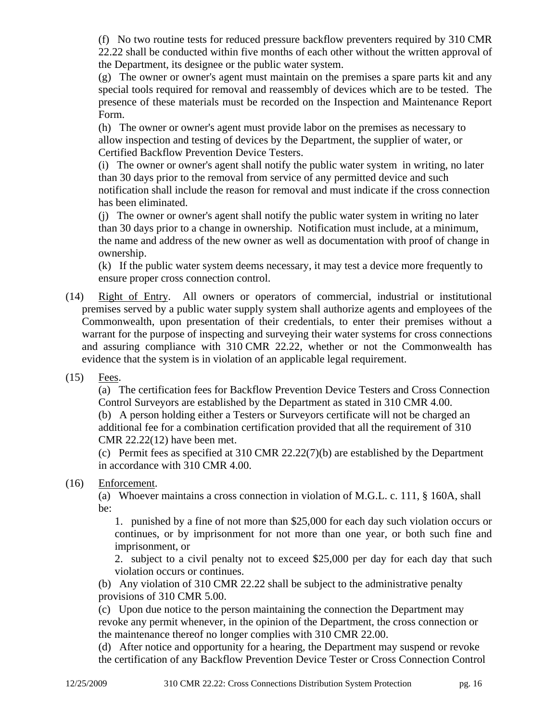(f) No two routine tests for reduced pressure backflow preventers required by 310 CMR 22.22 shall be conducted within five months of each other without the written approval of the Department, its designee or the public water system.

(g) The owner or owner's agent must maintain on the premises a spare parts kit and any special tools required for removal and reassembly of devices which are to be tested. The presence of these materials must be recorded on the Inspection and Maintenance Report Form.

(h) The owner or owner's agent must provide labor on the premises as necessary to allow inspection and testing of devices by the Department, the supplier of water, or Certified Backflow Prevention Device Testers.

(i) The owner or owner's agent shall notify the public water system in writing, no later than 30 days prior to the removal from service of any permitted device and such notification shall include the reason for removal and must indicate if the cross connection has been eliminated.

(j) The owner or owner's agent shall notify the public water system in writing no later than 30 days prior to a change in ownership. Notification must include, at a minimum, the name and address of the new owner as well as documentation with proof of change in ownership.

(k) If the public water system deems necessary, it may test a device more frequently to ensure proper cross connection control.

- (14) Right of Entry. All owners or operators of commercial, industrial or institutional premises served by a public water supply system shall authorize agents and employees of the Commonwealth, upon presentation of their credentials, to enter their premises without a warrant for the purpose of inspecting and surveying their water systems for cross connections and assuring compliance with 310 CMR 22.22, whether or not the Commonwealth has evidence that the system is in violation of an applicable legal requirement.
- (15) Fees.

(a) The certification fees for Backflow Prevention Device Testers and Cross Connection Control Surveyors are established by the Department as stated in 310 CMR 4.00.

(b) A person holding either a Testers or Surveyors certificate will not be charged an additional fee for a combination certification provided that all the requirement of 310 CMR 22.22(12) have been met.

(c) Permit fees as specified at 310 CMR 22.22(7)(b) are established by the Department in accordance with 310 CMR 4.00.

#### (16) Enforcement.

(a) Whoever maintains a cross connection in violation of M.G.L. c. 111, § 160A, shall be:

1. punished by a fine of not more than \$25,000 for each day such violation occurs or continues, or by imprisonment for not more than one year, or both such fine and imprisonment, or

2. subject to a civil penalty not to exceed \$25,000 per day for each day that such violation occurs or continues.

(b) Any violation of 310 CMR 22.22 shall be subject to the administrative penalty provisions of 310 CMR 5.00.

(c) Upon due notice to the person maintaining the connection the Department may revoke any permit whenever, in the opinion of the Department, the cross connection or the maintenance thereof no longer complies with 310 CMR 22.00.

(d) After notice and opportunity for a hearing, the Department may suspend or revoke the certification of any Backflow Prevention Device Tester or Cross Connection Control